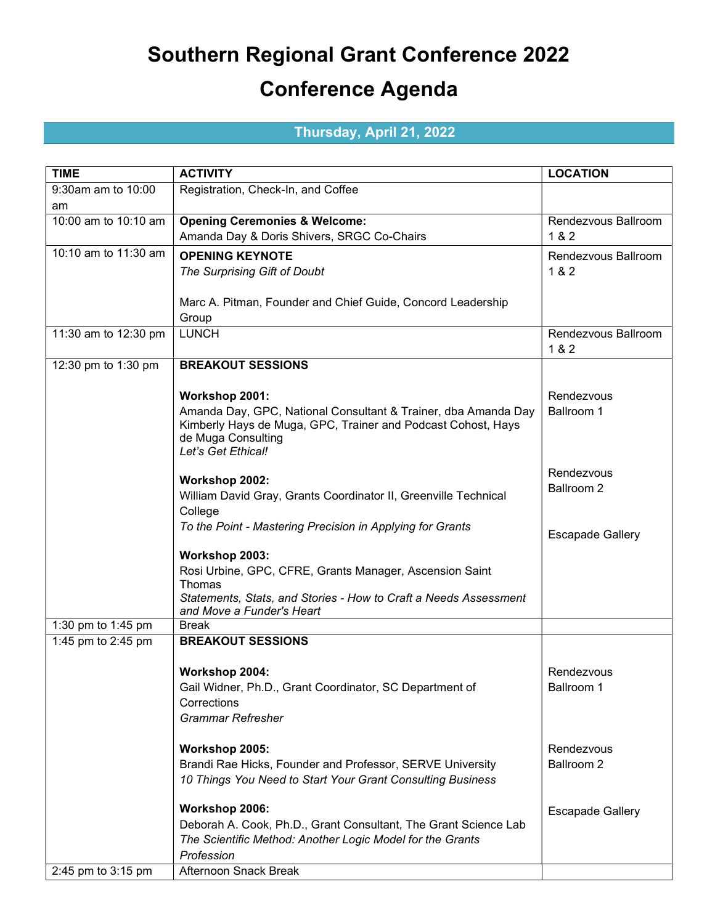## Southern Regional Grant Conference 2022 Conference Agenda

## Thursday, April 21, 2022

| <b>TIME</b>          | <b>ACTIVITY</b>                                                                               | <b>LOCATION</b>         |
|----------------------|-----------------------------------------------------------------------------------------------|-------------------------|
| 9:30am am to 10:00   | Registration, Check-In, and Coffee                                                            |                         |
| am                   |                                                                                               |                         |
| 10:00 am to 10:10 am | <b>Opening Ceremonies &amp; Welcome:</b>                                                      | Rendezvous Ballroom     |
|                      | Amanda Day & Doris Shivers, SRGC Co-Chairs                                                    | 1 & 2                   |
| 10:10 am to 11:30 am | <b>OPENING KEYNOTE</b>                                                                        | Rendezvous Ballroom     |
|                      | The Surprising Gift of Doubt                                                                  | 1 & 2                   |
|                      |                                                                                               |                         |
|                      | Marc A. Pitman, Founder and Chief Guide, Concord Leadership                                   |                         |
|                      | Group                                                                                         |                         |
| 11:30 am to 12:30 pm | <b>LUNCH</b>                                                                                  | Rendezvous Ballroom     |
|                      |                                                                                               | 1 & 2                   |
| 12:30 pm to 1:30 pm  | <b>BREAKOUT SESSIONS</b>                                                                      |                         |
|                      |                                                                                               |                         |
|                      | Workshop 2001:                                                                                | Rendezvous              |
|                      | Amanda Day, GPC, National Consultant & Trainer, dba Amanda Day                                | Ballroom 1              |
|                      | Kimberly Hays de Muga, GPC, Trainer and Podcast Cohost, Hays                                  |                         |
|                      | de Muga Consulting<br>Let's Get Ethical!                                                      |                         |
|                      |                                                                                               |                         |
|                      | Workshop 2002:                                                                                | Rendezvous              |
|                      | William David Gray, Grants Coordinator II, Greenville Technical                               | <b>Ballroom 2</b>       |
|                      | College                                                                                       |                         |
|                      | To the Point - Mastering Precision in Applying for Grants                                     |                         |
|                      |                                                                                               | <b>Escapade Gallery</b> |
|                      | Workshop 2003:                                                                                |                         |
|                      | Rosi Urbine, GPC, CFRE, Grants Manager, Ascension Saint                                       |                         |
|                      | Thomas                                                                                        |                         |
|                      | Statements, Stats, and Stories - How to Craft a Needs Assessment<br>and Move a Funder's Heart |                         |
| 1:30 pm to 1:45 pm   | <b>Break</b>                                                                                  |                         |
| 1:45 pm to 2:45 pm   | <b>BREAKOUT SESSIONS</b>                                                                      |                         |
|                      |                                                                                               |                         |
|                      | Workshop 2004:                                                                                | Rendezvous              |
|                      | Gail Widner, Ph.D., Grant Coordinator, SC Department of                                       | Ballroom 1              |
|                      | Corrections                                                                                   |                         |
|                      | <b>Grammar Refresher</b>                                                                      |                         |
|                      |                                                                                               |                         |
|                      | Workshop 2005:                                                                                | Rendezvous              |
|                      | Brandi Rae Hicks, Founder and Professor, SERVE University                                     | Ballroom 2              |
|                      | 10 Things You Need to Start Your Grant Consulting Business                                    |                         |
|                      | Workshop 2006:                                                                                | <b>Escapade Gallery</b> |
|                      | Deborah A. Cook, Ph.D., Grant Consultant, The Grant Science Lab                               |                         |
|                      | The Scientific Method: Another Logic Model for the Grants                                     |                         |
|                      | Profession                                                                                    |                         |
| 2:45 pm to 3:15 pm   | Afternoon Snack Break                                                                         |                         |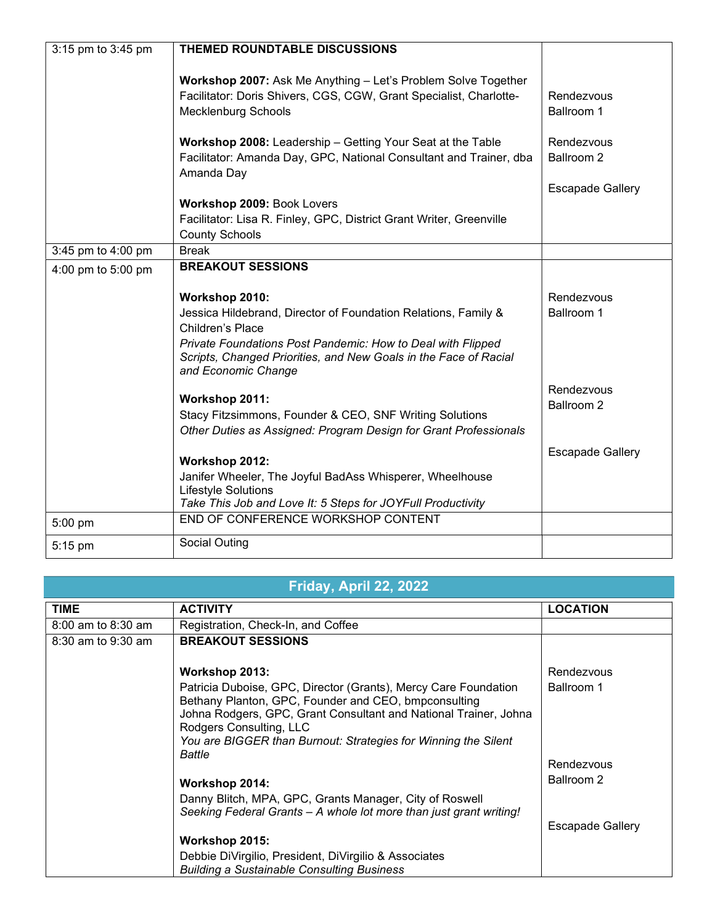| 3:15 pm to 3:45 pm | THEMED ROUNDTABLE DISCUSSIONS                                                      |                         |
|--------------------|------------------------------------------------------------------------------------|-------------------------|
|                    |                                                                                    |                         |
|                    | Workshop 2007: Ask Me Anything - Let's Problem Solve Together                      |                         |
|                    | Facilitator: Doris Shivers, CGS, CGW, Grant Specialist, Charlotte-                 | Rendezvous              |
|                    | <b>Mecklenburg Schools</b>                                                         | Ballroom 1              |
|                    |                                                                                    |                         |
|                    | Workshop 2008: Leadership - Getting Your Seat at the Table                         | Rendezvous              |
|                    | Facilitator: Amanda Day, GPC, National Consultant and Trainer, dba                 | Ballroom 2              |
|                    | Amanda Day                                                                         |                         |
|                    |                                                                                    | <b>Escapade Gallery</b> |
|                    | Workshop 2009: Book Lovers                                                         |                         |
|                    | Facilitator: Lisa R. Finley, GPC, District Grant Writer, Greenville                |                         |
|                    | <b>County Schools</b>                                                              |                         |
| 3:45 pm to 4:00 pm | <b>Break</b>                                                                       |                         |
| 4:00 pm to 5:00 pm | <b>BREAKOUT SESSIONS</b>                                                           |                         |
|                    |                                                                                    |                         |
|                    | Workshop 2010:                                                                     | Rendezvous              |
|                    | Jessica Hildebrand, Director of Foundation Relations, Family &                     | Ballroom 1              |
|                    | Children's Place                                                                   |                         |
|                    | Private Foundations Post Pandemic: How to Deal with Flipped                        |                         |
|                    | Scripts, Changed Priorities, and New Goals in the Face of Racial                   |                         |
|                    | and Economic Change                                                                |                         |
|                    |                                                                                    | Rendezvous              |
|                    | Workshop 2011:                                                                     | Ballroom 2              |
|                    | Stacy Fitzsimmons, Founder & CEO, SNF Writing Solutions                            |                         |
|                    | Other Duties as Assigned: Program Design for Grant Professionals                   |                         |
|                    |                                                                                    | <b>Escapade Gallery</b> |
|                    | Workshop 2012:                                                                     |                         |
|                    | Janifer Wheeler, The Joyful BadAss Whisperer, Wheelhouse                           |                         |
|                    | Lifestyle Solutions<br>Take This Job and Love It: 5 Steps for JOYFull Productivity |                         |
|                    | END OF CONFERENCE WORKSHOP CONTENT                                                 |                         |
| 5:00 pm            |                                                                                    |                         |
| 5:15 pm            | Social Outing                                                                      |                         |

## Friday, April 22, 2022

| <b>TIME</b>            | <b>ACTIVITY</b>                                                                                                                                                                                                                                                                                    | <b>LOCATION</b>   |
|------------------------|----------------------------------------------------------------------------------------------------------------------------------------------------------------------------------------------------------------------------------------------------------------------------------------------------|-------------------|
| $8:00$ am to $8:30$ am | Registration, Check-In, and Coffee                                                                                                                                                                                                                                                                 |                   |
| 8:30 am to 9:30 am     | <b>BREAKOUT SESSIONS</b>                                                                                                                                                                                                                                                                           |                   |
|                        | Workshop 2013:                                                                                                                                                                                                                                                                                     | Rendezvous        |
|                        | Patricia Duboise, GPC, Director (Grants), Mercy Care Foundation<br>Bethany Planton, GPC, Founder and CEO, bmpconsulting<br>Johna Rodgers, GPC, Grant Consultant and National Trainer, Johna<br>Rodgers Consulting, LLC<br>You are BIGGER than Burnout: Strategies for Winning the Silent<br>Battle | Ballroom 1        |
|                        |                                                                                                                                                                                                                                                                                                    | <b>Rendezvous</b> |
|                        | Workshop 2014:                                                                                                                                                                                                                                                                                     | Ballroom 2        |
|                        | Danny Blitch, MPA, GPC, Grants Manager, City of Roswell<br>Seeking Federal Grants - A whole lot more than just grant writing!                                                                                                                                                                      |                   |
|                        |                                                                                                                                                                                                                                                                                                    | Escapade Gallery  |
|                        | Workshop 2015:                                                                                                                                                                                                                                                                                     |                   |
|                        | Debbie DiVirgilio, President, DiVirgilio & Associates<br><b>Building a Sustainable Consulting Business</b>                                                                                                                                                                                         |                   |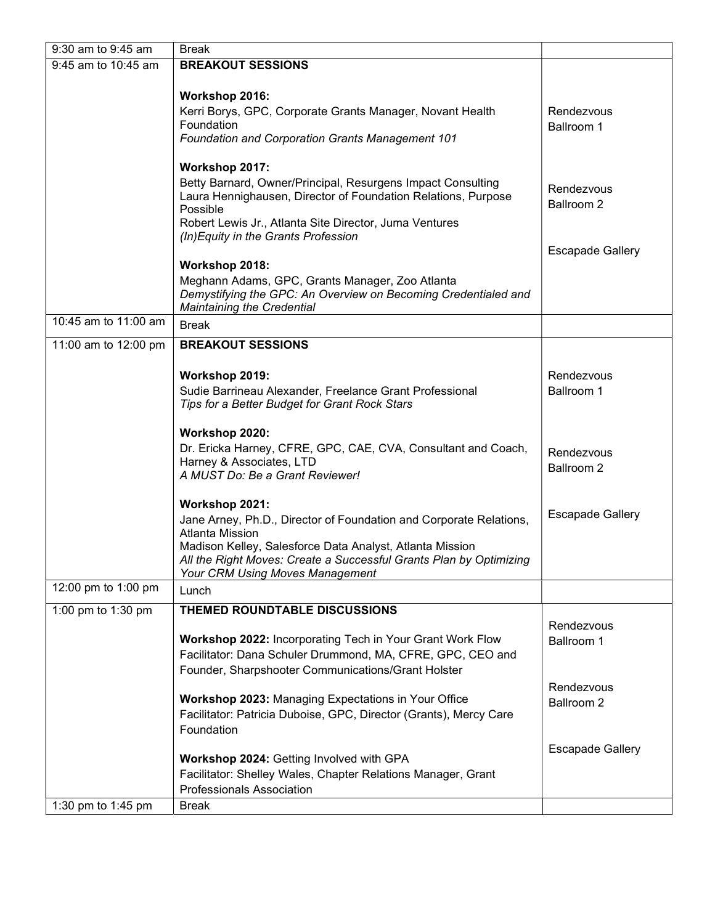| 9:30 am to 9:45 am   | <b>Break</b>                                                                                                             |                         |
|----------------------|--------------------------------------------------------------------------------------------------------------------------|-------------------------|
| 9:45 am to 10:45 am  | <b>BREAKOUT SESSIONS</b>                                                                                                 |                         |
|                      | Workshop 2016:                                                                                                           |                         |
|                      | Kerri Borys, GPC, Corporate Grants Manager, Novant Health                                                                | Rendezvous              |
|                      | Foundation                                                                                                               | <b>Ballroom 1</b>       |
|                      | Foundation and Corporation Grants Management 101                                                                         |                         |
|                      | Workshop 2017:                                                                                                           |                         |
|                      | Betty Barnard, Owner/Principal, Resurgens Impact Consulting                                                              | Rendezvous              |
|                      | Laura Hennighausen, Director of Foundation Relations, Purpose<br>Possible                                                | Ballroom 2              |
|                      | Robert Lewis Jr., Atlanta Site Director, Juma Ventures                                                                   |                         |
|                      | (In) Equity in the Grants Profession                                                                                     |                         |
|                      | Workshop 2018:                                                                                                           | <b>Escapade Gallery</b> |
|                      | Meghann Adams, GPC, Grants Manager, Zoo Atlanta                                                                          |                         |
|                      | Demystifying the GPC: An Overview on Becoming Credentialed and<br><b>Maintaining the Credential</b>                      |                         |
| 10:45 am to 11:00 am | <b>Break</b>                                                                                                             |                         |
| 11:00 am to 12:00 pm | <b>BREAKOUT SESSIONS</b>                                                                                                 |                         |
|                      |                                                                                                                          |                         |
|                      | Workshop 2019:                                                                                                           | Rendezvous              |
|                      | Sudie Barrineau Alexander, Freelance Grant Professional                                                                  | Ballroom 1              |
|                      | Tips for a Better Budget for Grant Rock Stars                                                                            |                         |
|                      | Workshop 2020:                                                                                                           |                         |
|                      | Dr. Ericka Harney, CFRE, GPC, CAE, CVA, Consultant and Coach,                                                            | Rendezvous              |
|                      | Harney & Associates, LTD<br>A MUST Do: Be a Grant Reviewer!                                                              | Ballroom 2              |
|                      |                                                                                                                          |                         |
|                      | Workshop 2021:                                                                                                           |                         |
|                      | Jane Arney, Ph.D., Director of Foundation and Corporate Relations,<br><b>Atlanta Mission</b>                             | <b>Escapade Gallery</b> |
|                      | Madison Kelley, Salesforce Data Analyst, Atlanta Mission                                                                 |                         |
|                      | All the Right Moves: Create a Successful Grants Plan by Optimizing                                                       |                         |
| 12:00 pm to 1:00 pm  | Your CRM Using Moves Management                                                                                          |                         |
|                      | Lunch                                                                                                                    |                         |
| 1:00 pm to 1:30 pm   | THEMED ROUNDTABLE DISCUSSIONS                                                                                            | Rendezvous              |
|                      | Workshop 2022: Incorporating Tech in Your Grant Work Flow                                                                | Ballroom 1              |
|                      | Facilitator: Dana Schuler Drummond, MA, CFRE, GPC, CEO and                                                               |                         |
|                      | Founder, Sharpshooter Communications/Grant Holster                                                                       |                         |
|                      |                                                                                                                          | Rendezvous              |
|                      | Workshop 2023: Managing Expectations in Your Office<br>Facilitator: Patricia Duboise, GPC, Director (Grants), Mercy Care | Ballroom 2              |
|                      | Foundation                                                                                                               |                         |
|                      |                                                                                                                          | <b>Escapade Gallery</b> |
|                      | Workshop 2024: Getting Involved with GPA                                                                                 |                         |
|                      | Facilitator: Shelley Wales, Chapter Relations Manager, Grant                                                             |                         |
|                      | <b>Professionals Association</b>                                                                                         |                         |
| 1:30 pm to 1:45 pm   | <b>Break</b>                                                                                                             |                         |